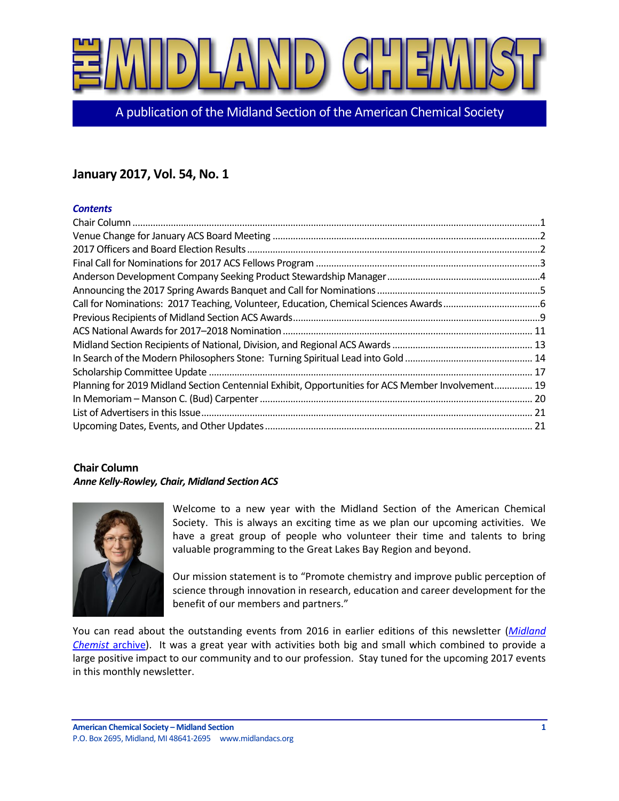

A publication of the Midland Section of the American Chemical Society

# **January 2017, Vol. 54, No. 1**

## *Contents*

| Planning for 2019 Midland Section Centennial Exhibit, Opportunities for ACS Member Involvement 19 |  |
|---------------------------------------------------------------------------------------------------|--|
|                                                                                                   |  |
|                                                                                                   |  |
|                                                                                                   |  |

# <span id="page-0-0"></span>**Chair Column** *Anne Kelly-Rowley, Chair, Midland Section ACS*



Welcome to a new year with the Midland Section of the American Chemical Society. This is always an exciting time as we plan our upcoming activities. We have a great group of people who volunteer their time and talents to bring valuable programming to the Great Lakes Bay Region and beyond.

Our mission statement is to "Promote chemistry and improve public perception of science through innovation in research, education and career development for the benefit of our members and partners."

You can read about the outstanding events from 2016 in earlier editions of this newsletter (*[Midland](http://www.midlandacs.org/181-2/)  [Chemist](http://www.midlandacs.org/181-2/)* archive). It was a great year with activities both big and small which combined to provide a large positive impact to our community and to our profession. Stay tuned for the upcoming 2017 events in this monthly newsletter.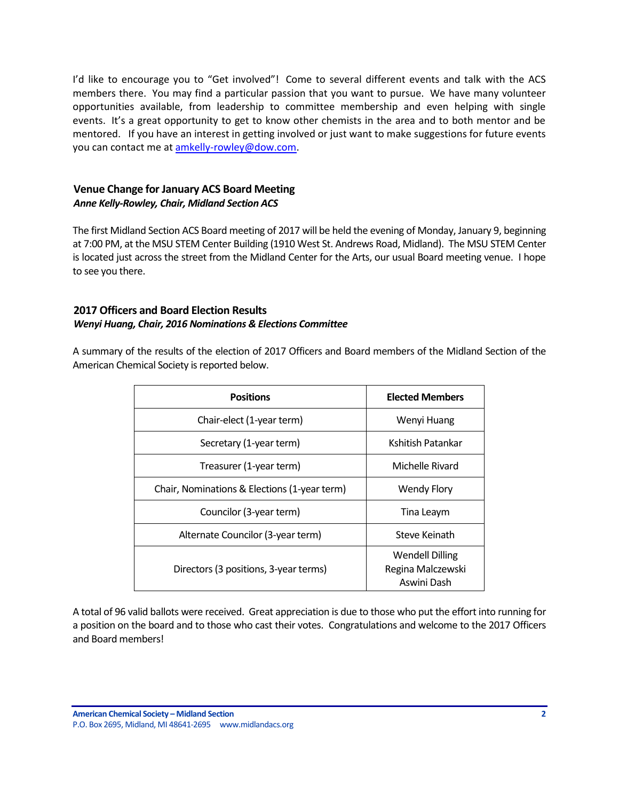I'd like to encourage you to "Get involved"! Come to several different events and talk with the ACS members there. You may find a particular passion that you want to pursue. We have many volunteer opportunities available, from leadership to committee membership and even helping with single events. It's a great opportunity to get to know other chemists in the area and to both mentor and be mentored. If you have an interest in getting involved or just want to make suggestions for future events you can contact me a[t amkelly-rowley@dow.com.](mailto:amkelly-rowley@dow.com)

# <span id="page-1-0"></span>**Venue Change for January ACS Board Meeting** *Anne Kelly-Rowley, Chair, Midland Section ACS*

The first Midland Section ACS Board meeting of 2017 will be held the evening of Monday, January 9, beginning at 7:00 PM, at the MSU STEM Center Building (1910 West St. Andrews Road, Midland). The MSU STEM Center is located just across the street from the Midland Center for the Arts, our usual Board meeting venue. I hope to see you there.

# <span id="page-1-1"></span>**2017 Officers and Board Election Results** *Wenyi Huang, Chair, 2016 Nominations & Elections Committee*

A summary of the results of the election of 2017 Officers and Board members of the Midland Section of the American Chemical Society is reported below.

| <b>Positions</b>                             | <b>Elected Members</b>                                     |
|----------------------------------------------|------------------------------------------------------------|
| Chair-elect (1-year term)                    | Wenyi Huang                                                |
| Secretary (1-year term)                      | Kshitish Patankar                                          |
| Treasurer (1-year term)                      | Michelle Rivard                                            |
| Chair, Nominations & Elections (1-year term) | <b>Wendy Flory</b>                                         |
| Councilor (3-year term)                      | Tina Leaym                                                 |
| Alternate Councilor (3-year term)            | Steve Keinath                                              |
| Directors (3 positions, 3-year terms)        | <b>Wendell Dilling</b><br>Regina Malczewski<br>Aswini Dash |

A total of 96 valid ballots were received. Great appreciation is due to those who put the effort into running for a position on the board and to those who cast their votes. Congratulations and welcome to the 2017 Officers and Board members!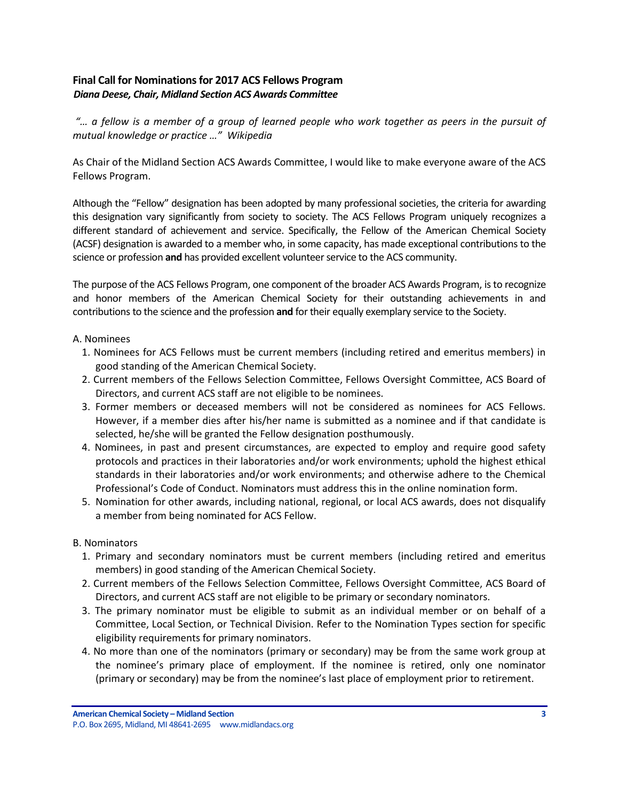# <span id="page-2-0"></span>**Final Call for Nominations for 2017 ACS Fellows Program** *Diana Deese, Chair, Midland Section ACS Awards Committee*

*"… a fellow is a member of a group of learned people who work together as [peers](https://en.wikipedia.org/wiki/Peer_group) in the pursuit of mutual knowledge or practice …" Wikipedia*

As Chair of the Midland Section ACS Awards Committee, I would like to make everyone aware of the ACS Fellows Program.

Although the "Fellow" designation has been adopted by many professional societies, the criteria for awarding this designation vary significantly from society to society. The ACS Fellows Program uniquely recognizes a different standard of achievement and service. Specifically, the Fellow of the American Chemical Society (ACSF) designation is awarded to a member who, in some capacity, has made exceptional contributions to the science or profession **and** has provided excellent volunteer service to the ACS community.

The purpose of the ACS Fellows Program, one component of the broader ACS Awards Program, is to recognize and honor members of the American Chemical Society for their outstanding achievements in and contributions to the science and the profession **and** for their equally exemplary service to the Society.

#### A. Nominees

- 1. Nominees for ACS Fellows must be current members (including retired and emeritus members) in good standing of the American Chemical Society.
- 2. Current members of the Fellows Selection Committee, Fellows Oversight Committee, ACS Board of Directors, and current ACS staff are not eligible to be nominees.
- 3. Former members or deceased members will not be considered as nominees for ACS Fellows. However, if a member dies after his/her name is submitted as a nominee and if that candidate is selected, he/she will be granted the Fellow designation posthumously.
- 4. Nominees, in past and present circumstances, are expected to employ and require good safety protocols and practices in their laboratories and/or work environments; uphold the highest ethical standards in their laboratories and/or work environments; and otherwise adhere to the Chemical Professional's Code of Conduct. Nominators must address this in the online nomination form.
- 5. Nomination for other awards, including national, regional, or local ACS awards, does not disqualify a member from being nominated for ACS Fellow.

### B. Nominators

- 1. Primary and secondary nominators must be current members (including retired and emeritus members) in good standing of the American Chemical Society.
- 2. Current members of the Fellows Selection Committee, Fellows Oversight Committee, ACS Board of Directors, and current ACS staff are not eligible to be primary or secondary nominators.
- 3. The primary nominator must be eligible to submit as an individual member or on behalf of a Committee, Local Section, or Technical Division. Refer to the Nomination Types section for specific eligibility requirements for primary nominators.
- 4. No more than one of the nominators (primary or secondary) may be from the same work group at the nominee's primary place of employment. If the nominee is retired, only one nominator (primary or secondary) may be from the nominee's last place of employment prior to retirement.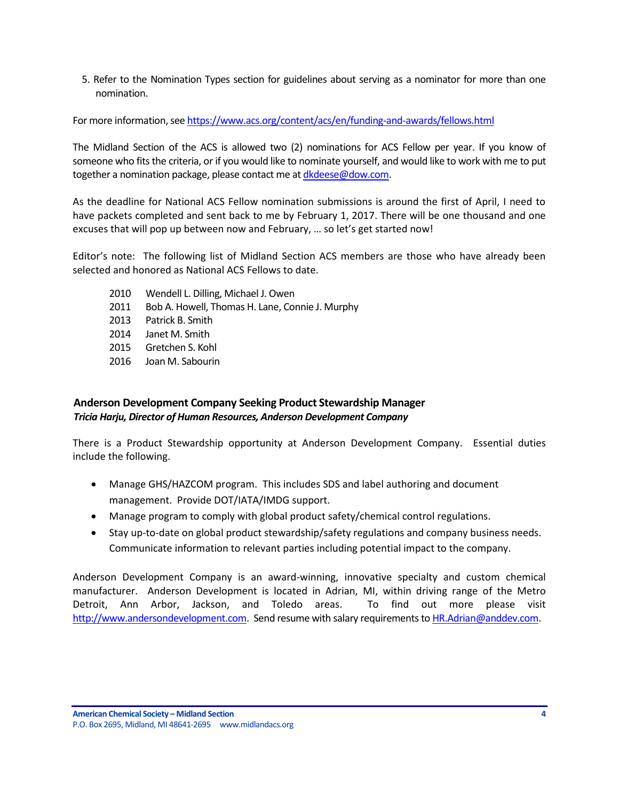5. Refer to the Nomination Types section for guidelines about serving as a nominator for more than one nomination.

For more information, see <https://www.acs.org/content/acs/en/funding-and-awards/fellows.html>

The Midland Section of the ACS is allowed two (2) nominations for ACS Fellow per year. If you know of someone who fits the criteria, or if you would like to nominate yourself, and would like to work with me to put together a nomination package, please contact me at [dkdeese@dow.com.](mailto:dkdeese@dow.com)

As the deadline for National ACS Fellow nomination submissions is around the first of April, I need to have packets completed and sent back to me by February 1, 2017. There will be one thousand and one excuses that will pop up between now and February, … so let's get started now!

Editor's note: The following list of Midland Section ACS members are those who have already been selected and honored as National ACS Fellows to date.

- 2010 Wendell L. Dilling, Michael J. Owen
- 2011 Bob A. Howell, Thomas H. Lane, Connie J. Murphy
- 2013 Patrick B. Smith
- 2014 Janet M. Smith
- 2015 Gretchen S. Kohl
- 2016 Joan M. Sabourin

# <span id="page-3-0"></span>**Anderson Development Company Seeking Product Stewardship Manager** *Tricia Harju, Director of Human Resources, Anderson Development Company*

There is a Product Stewardship opportunity at Anderson Development Company. Essential duties include the following.

- Manage GHS/HAZCOM program. This includes SDS and label authoring and document management. Provide DOT/IATA/IMDG support.
- Manage program to comply with global product safety/chemical control regulations.
- Stay up-to-date on global product stewardship/safety regulations and company business needs. Communicate information to relevant parties including potential impact to the company.

Anderson Development Company is an award-winning, innovative specialty and custom chemical manufacturer. Anderson Development is located in Adrian, MI, within driving range of the Metro Detroit, Ann Arbor, Jackson, and Toledo areas. To find out more please visit [http://www.andersondevelopment.com.](http://www.andersondevelopment.com/) Send resume with salary requirements t[o HR.Adrian@anddev.com.](mailto:HR.Adrian@anddev.com)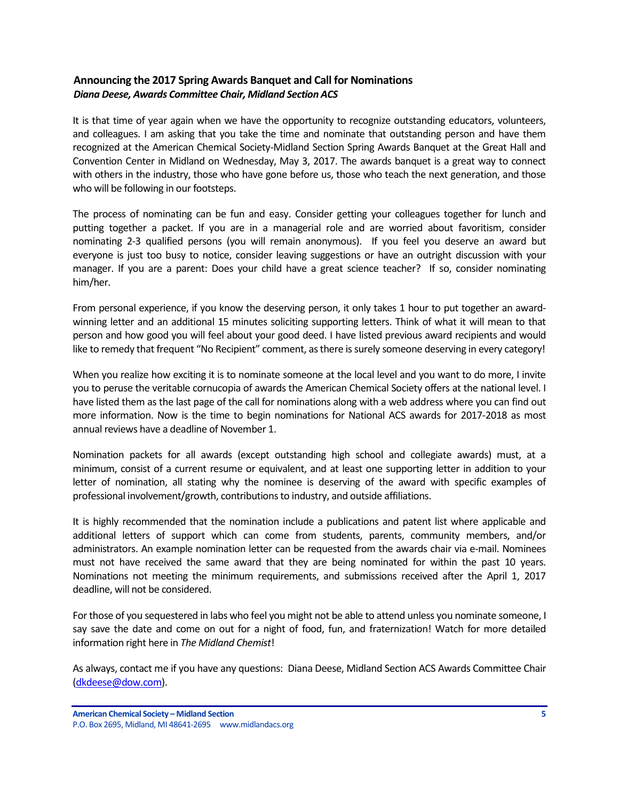# <span id="page-4-0"></span>**Announcing the 2017 Spring Awards Banquet and Call for Nominations** *Diana Deese, Awards Committee Chair, Midland Section ACS*

It is that time of year again when we have the opportunity to recognize outstanding educators, volunteers, and colleagues. I am asking that you take the time and nominate that outstanding person and have them recognized at the American Chemical Society-Midland Section Spring Awards Banquet at the Great Hall and Convention Center in Midland on Wednesday, May 3, 2017. The awards banquet is a great way to connect with others in the industry, those who have gone before us, those who teach the next generation, and those who will be following in our footsteps.

The process of nominating can be fun and easy. Consider getting your colleagues together for lunch and putting together a packet. If you are in a managerial role and are worried about favoritism, consider nominating 2-3 qualified persons (you will remain anonymous). If you feel you deserve an award but everyone is just too busy to notice, consider leaving suggestions or have an outright discussion with your manager. If you are a parent: Does your child have a great science teacher? If so, consider nominating him/her.

From personal experience, if you know the deserving person, it only takes 1 hour to put together an awardwinning letter and an additional 15 minutes soliciting supporting letters. Think of what it will mean to that person and how good you will feel about your good deed. I have listed previous award recipients and would like to remedy that frequent "No Recipient" comment, as there is surely someone deserving in every category!

When you realize how exciting it is to nominate someone at the local level and you want to do more, I invite you to peruse the veritable cornucopia of awards the American Chemical Society offers at the national level. I have listed them as the last page of the call for nominations along with a web address where you can find out more information. Now is the time to begin nominations for National ACS awards for 2017-2018 as most annual reviews have a deadline of November 1.

Nomination packets for all awards (except outstanding high school and collegiate awards) must, at a minimum, consist of a current resume or equivalent, and at least one supporting letter in addition to your letter of nomination, all stating why the nominee is deserving of the award with specific examples of professional involvement/growth, contributions to industry, and outside affiliations.

It is highly recommended that the nomination include a publications and patent list where applicable and additional letters of support which can come from students, parents, community members, and/or administrators. An example nomination letter can be requested from the awards chair via e-mail. Nominees must not have received the same award that they are being nominated for within the past 10 years. Nominations not meeting the minimum requirements, and submissions received after the April 1, 2017 deadline, will not be considered.

For those of you sequestered in labs who feel you might not be able to attend unless you nominate someone, I say save the date and come on out for a night of food, fun, and fraternization! Watch for more detailed information right here in *The Midland Chemist*!

As always, contact me if you have any questions: Diana Deese, Midland Section ACS Awards Committee Chair [\(dkdeese@dow.com\)](mailto:dkdeese@dow.com).

**American Chemical Society – Midland Section 5** P.O. Box 2695, Midland, MI 48641-2695 www.midlandacs.org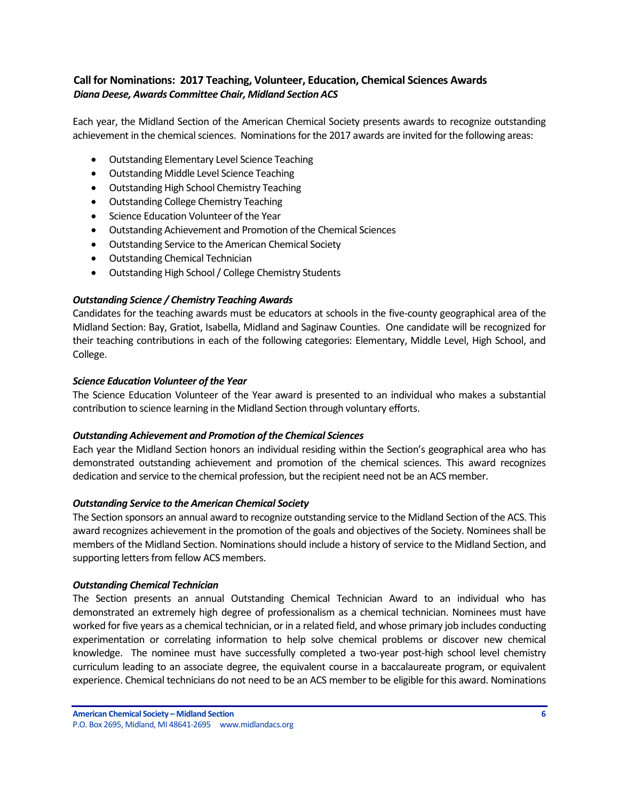# <span id="page-5-0"></span>**Call for Nominations: 2017 Teaching, Volunteer, Education, Chemical Sciences Awards** *Diana Deese, Awards Committee Chair, Midland Section ACS*

Each year, the Midland Section of the American Chemical Society presents awards to recognize outstanding achievement in the chemical sciences. Nominations for the 2017 awards are invited for the following areas:

- Outstanding Elementary Level Science Teaching
- Outstanding Middle Level Science Teaching
- Outstanding High School Chemistry Teaching
- Outstanding College Chemistry Teaching
- Science Education Volunteer of the Year
- Outstanding Achievement and Promotion of the Chemical Sciences
- Outstanding Service to the American Chemical Society
- Outstanding Chemical Technician
- Outstanding High School/ College Chemistry Students

### *Outstanding Science / Chemistry Teaching Awards*

Candidates for the teaching awards must be educators at schools in the five-county geographical area of the Midland Section: Bay, Gratiot, Isabella, Midland and Saginaw Counties. One candidate will be recognized for their teaching contributions in each of the following categories: Elementary, Middle Level, High School, and College.

#### *Science Education Volunteer of the Year*

The Science Education Volunteer of the Year award is presented to an individual who makes a substantial contribution to science learning in the Midland Section through voluntary efforts.

### *Outstanding Achievement and Promotion of the Chemical Sciences*

Each year the Midland Section honors an individual residing within the Section's geographical area who has demonstrated outstanding achievement and promotion of the chemical sciences. This award recognizes dedication and service to the chemical profession, but the recipient need not be an ACS member.

#### *Outstanding Service to the American Chemical Society*

The Section sponsors an annual award to recognize outstanding service to the Midland Section of the ACS. This award recognizes achievement in the promotion of the goals and objectives of the Society. Nominees shall be members of the Midland Section. Nominations should include a history of service to the Midland Section, and supporting letters from fellow ACS members.

#### *Outstanding Chemical Technician*

The Section presents an annual Outstanding Chemical Technician Award to an individual who has demonstrated an extremely high degree of professionalism as a chemical technician. Nominees must have worked for five years as a chemical technician, or in a related field, and whose primary job includes conducting experimentation or correlating information to help solve chemical problems or discover new chemical knowledge. The nominee must have successfully completed a two-year post-high school level chemistry curriculum leading to an associate degree, the equivalent course in a baccalaureate program, or equivalent experience. Chemical technicians do not need to be an ACS member to be eligible for this award. Nominations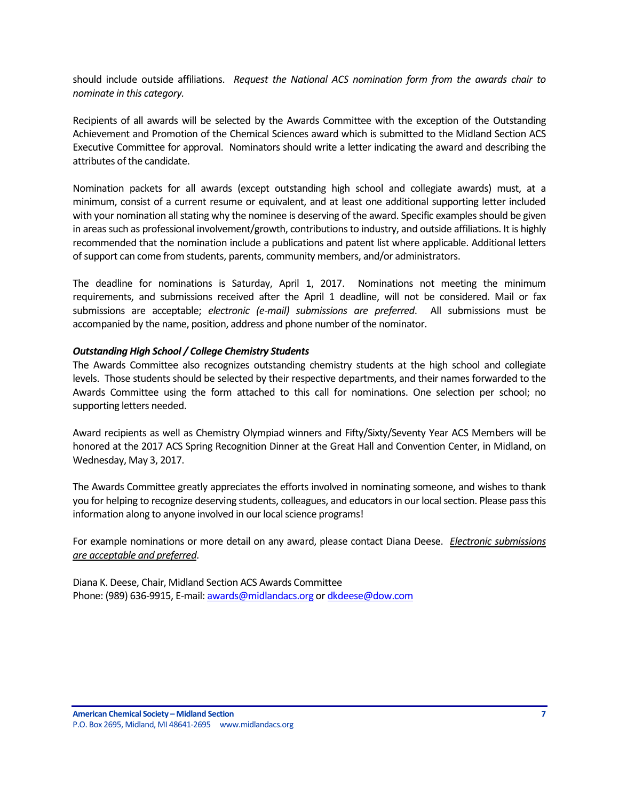should include outside affiliations. *Request the National ACS nomination form from the awards chair to nominate in this category.* 

Recipients of all awards will be selected by the Awards Committee with the exception of the Outstanding Achievement and Promotion of the Chemical Sciences award which is submitted to the Midland Section ACS Executive Committee for approval. Nominators should write a letter indicating the award and describing the attributes of the candidate.

Nomination packets for all awards (except outstanding high school and collegiate awards) must, at a minimum, consist of a current resume or equivalent, and at least one additional supporting letter included with your nomination all stating why the nominee is deserving of the award. Specific examples should be given in areas such as professional involvement/growth, contributions to industry, and outside affiliations. It is highly recommended that the nomination include a publications and patent list where applicable. Additional letters of support can come from students, parents, community members, and/or administrators.

The deadline for nominations is Saturday, April 1, 2017. Nominations not meeting the minimum requirements, and submissions received after the April 1 deadline, will not be considered. Mail or fax submissions are acceptable; *electronic (e-mail) submissions are preferred*. All submissions must be accompanied by the name, position, address and phone number of the nominator.

#### *Outstanding High School / College Chemistry Students*

The Awards Committee also recognizes outstanding chemistry students at the high school and collegiate levels. Those students should be selected by their respective departments, and their names forwarded to the Awards Committee using the form attached to this call for nominations. One selection per school; no supporting letters needed.

Award recipients as well as Chemistry Olympiad winners and Fifty/Sixty/Seventy Year ACS Members will be honored at the 2017 ACS Spring Recognition Dinner at the Great Hall and Convention Center, in Midland, on Wednesday, May 3, 2017.

The Awards Committee greatly appreciates the efforts involved in nominating someone, and wishes to thank you for helping to recognize deserving students, colleagues, and educators in our local section. Please pass this information along to anyone involved in our local science programs!

For example nominations or more detail on any award, please contact Diana Deese. *Electronic submissions are acceptable and preferred*.

Diana K. Deese, Chair, Midland Section ACS Awards Committee Phone: (989) 636-9915, E-mail[: awards@midlandacs.org](mailto:awards@midlandacs.org) or [dkdeese@dow.com](mailto:dkdeese@dow.com)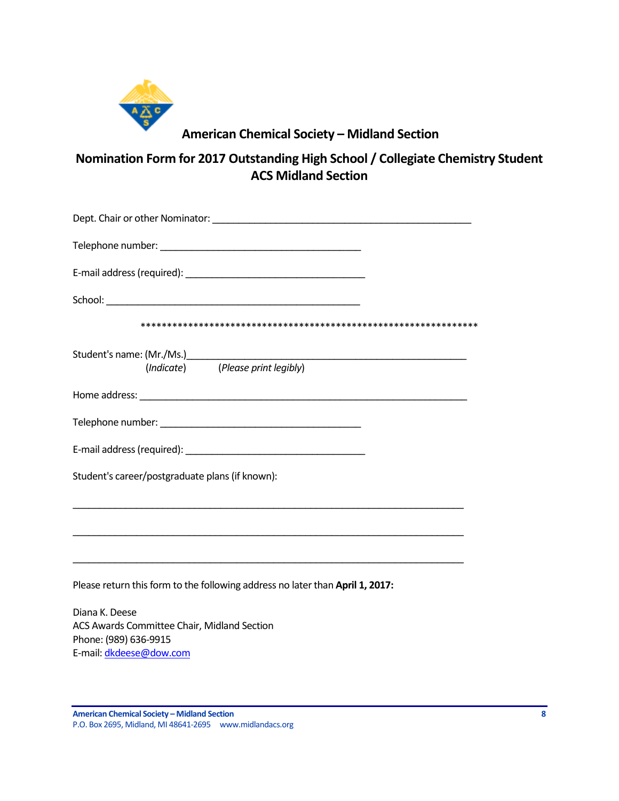

# **American Chemical Society – Midland Section**

**Nomination Form for 2017 Outstanding High School / Collegiate Chemistry Student ACS Midland Section**

| (Indicate) (Please print legibly)                                                |
|----------------------------------------------------------------------------------|
|                                                                                  |
|                                                                                  |
|                                                                                  |
| Student's career/postgraduate plans (if known):                                  |
|                                                                                  |
| ,我们也不能在这里的时候,我们也不能在这里的时候,我们也不能在这里的时候,我们也不能会在这里的时候,我们也不能会在这里的时候,我们也不能会在这里的时候,我们也不 |
| Please return this form to the following address no later than April 1, 2017:    |
| Diana K. Deese<br>ACS Awards Committee Chair, Midland Section                    |
| Phone: (989) 636-9915                                                            |

**American Chemical Society – Midland Section 8** P.O. Box 2695, Midland, MI 48641-2695 www.midlandacs.org

E-mail[: dkdeese@dow.com](mailto:dkdeese@dow.com)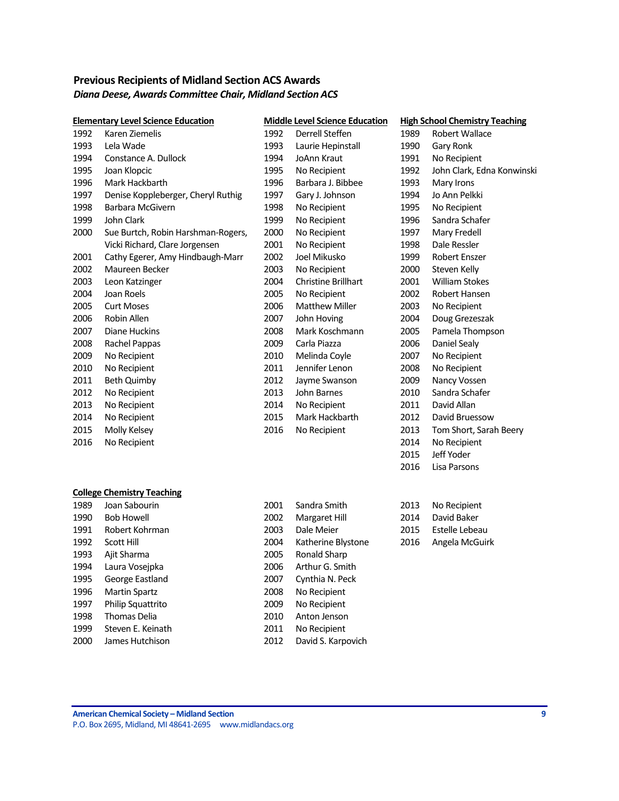# <span id="page-8-0"></span>**Previous Recipients of Midland Section ACS Awards** *Diana Deese, Awards Committee Chair, Midland Section ACS*

|      | <b>Elementary Level Science Education</b> |      | <b>Middle Level Science Education</b> |      | <b>High School Chemistry Teaching</b> |
|------|-------------------------------------------|------|---------------------------------------|------|---------------------------------------|
| 1992 | Karen Ziemelis                            | 1992 | Derrell Steffen                       | 1989 | Robert Wallace                        |
| 1993 | Lela Wade                                 | 1993 | Laurie Hepinstall                     | 1990 | Gary Ronk                             |
| 1994 | Constance A. Dullock                      | 1994 | JoAnn Kraut                           | 1991 | No Recipient                          |
| 1995 | Joan Klopcic                              | 1995 | No Recipient                          | 1992 | John Clark, Edna Konwinski            |
| 1996 | Mark Hackbarth                            | 1996 | Barbara J. Bibbee                     | 1993 | Mary Irons                            |
| 1997 | Denise Koppleberger, Cheryl Ruthig        | 1997 | Gary J. Johnson                       | 1994 | Jo Ann Pelkki                         |
| 1998 | <b>Barbara McGivern</b>                   | 1998 | No Recipient                          | 1995 | No Recipient                          |
| 1999 | John Clark                                | 1999 | No Recipient                          | 1996 | Sandra Schafer                        |
| 2000 | Sue Burtch, Robin Harshman-Rogers,        | 2000 | No Recipient                          | 1997 | Mary Fredell                          |
|      | Vicki Richard, Clare Jorgensen            | 2001 | No Recipient                          | 1998 | Dale Ressler                          |
| 2001 | Cathy Egerer, Amy Hindbaugh-Marr          | 2002 | Joel Mikusko                          | 1999 | Robert Enszer                         |
| 2002 | Maureen Becker                            | 2003 | No Recipient                          | 2000 | Steven Kelly                          |
| 2003 | Leon Katzinger                            | 2004 | <b>Christine Brillhart</b>            | 2001 | <b>William Stokes</b>                 |
| 2004 | Joan Roels                                | 2005 | No Recipient                          | 2002 | Robert Hansen                         |
| 2005 | <b>Curt Moses</b>                         | 2006 | <b>Matthew Miller</b>                 | 2003 | No Recipient                          |
| 2006 | Robin Allen                               | 2007 | John Hoving                           | 2004 | Doug Grezeszak                        |
| 2007 | Diane Huckins                             | 2008 | Mark Koschmann                        | 2005 | Pamela Thompson                       |
| 2008 | Rachel Pappas                             | 2009 | Carla Piazza                          | 2006 | Daniel Sealy                          |
| 2009 | No Recipient                              | 2010 | Melinda Coyle                         | 2007 | No Recipient                          |
| 2010 | No Recipient                              | 2011 | Jennifer Lenon                        | 2008 | No Recipient                          |
| 2011 | <b>Beth Quimby</b>                        | 2012 | Jayme Swanson                         | 2009 | Nancy Vossen                          |
| 2012 | No Recipient                              | 2013 | John Barnes                           | 2010 | Sandra Schafer                        |
| 2013 | No Recipient                              | 2014 | No Recipient                          | 2011 | David Allan                           |
| 2014 | No Recipient                              | 2015 | Mark Hackbarth                        | 2012 | David Bruessow                        |
| 2015 | Molly Kelsey                              | 2016 | No Recipient                          | 2013 | Tom Short, Sarah Beery                |
| 2016 | No Recipient                              |      |                                       | 2014 | No Recipient                          |
|      |                                           |      |                                       | 2015 | Jeff Yoder                            |
|      |                                           |      |                                       | 2016 | Lisa Parsons                          |
|      | <b>College Chemistry Teaching</b>         |      |                                       |      |                                       |
| 1989 | Joan Sabourin                             | 2001 | Sandra Smith                          | 2013 | No Recipient                          |
| 1990 | <b>Bob Howell</b>                         | 2002 | Margaret Hill                         | 2014 | David Baker                           |
| 1991 | Robert Kohrman                            | 2003 | Dale Meier                            | 2015 | Estelle Lebeau                        |
| 1992 | Scott Hill                                | 2004 | Katherine Blystone                    | 2016 | Angela McGuirk                        |
| 1993 | Ajit Sharma                               | 2005 | Ronald Sharp                          |      |                                       |
| 1994 | Laura Vosejpka                            | 2006 | Arthur G. Smith                       |      |                                       |
| 1995 | George Eastland                           | 2007 | Cynthia N. Peck                       |      |                                       |
| 1996 | <b>Martin Spartz</b>                      | 2008 | No Recipient                          |      |                                       |
| 1997 | Philip Squattrito                         | 2009 | No Recipient                          |      |                                       |

1999 Steven E. Keinath

1998 Thomas Delia 2010 Anton Jenson<br>1999 Steven E. Keinath 2011 No Recipient

James Hutchison 2012 David S. Karpovich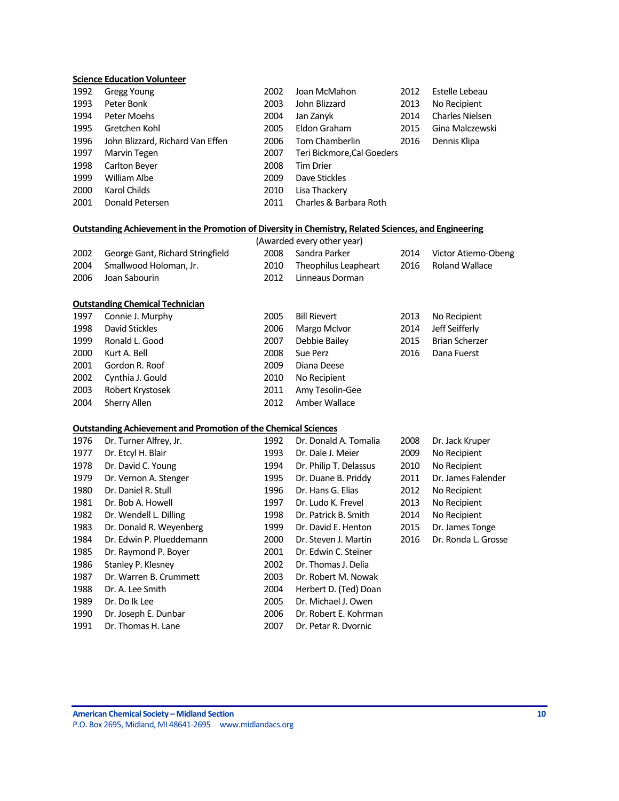#### **Science Education Volunteer**

| 1992 | <b>Gregg Young</b>               | 2002 | Joan McMahon               | 2012 | Estelle Lebeau         |
|------|----------------------------------|------|----------------------------|------|------------------------|
| 1993 | Peter Bonk                       | 2003 | John Blizzard              | 2013 | No Recipient           |
| 1994 | Peter Moehs                      | 2004 | Jan Zanyk                  | 2014 | <b>Charles Nielsen</b> |
| 1995 | Gretchen Kohl                    | 2005 | Eldon Graham               | 2015 | Gina Malczewski        |
| 1996 | John Blizzard, Richard Van Effen | 2006 | Tom Chamberlin             | 2016 | Dennis Klipa           |
| 1997 | Marvin Tegen                     | 2007 | Teri Bickmore, Cal Goeders |      |                        |
| 1998 | Carlton Beyer                    | 2008 | <b>Tim Drier</b>           |      |                        |
| 1999 | William Albe                     | 2009 | Dave Stickles              |      |                        |
| 2000 | Karol Childs                     | 2010 | Lisa Thackery              |      |                        |
| 2001 | Donald Petersen                  | 2011 | Charles & Barbara Roth     |      |                        |

#### **Outstanding Achievement in the Promotion of Diversity in Chemistry, Related Sciences, and Engineering**

|      |                                  |       | (Awarded every other year) |      |                     |
|------|----------------------------------|-------|----------------------------|------|---------------------|
| 2002 | George Gant, Richard Stringfield |       | 2008 Sandra Parker         | 2014 | Victor Atiemo-Obeng |
| 2004 | Smallwood Holoman, Jr.           | 2010- | Theophilus Leapheart       |      | 2016 Roland Wallace |
| 2006 | Joan Sabourin                    | 2012  | Linneaus Dorman            |      |                     |
|      |                                  |       |                            |      |                     |

#### **Outstanding Chemical Technician**

| 1997 | Connie J. Murphy | 2005 | Bill Rievert    | 2013 | No Recipient          |
|------|------------------|------|-----------------|------|-----------------------|
| 1998 | David Stickles   | 2006 | Margo McIvor    | 2014 | Jeff Seifferly        |
| 1999 | Ronald L. Good   | 2007 | Debbie Bailey   | 2015 | <b>Brian Scherzer</b> |
| 2000 | Kurt A. Bell     | 2008 | Sue Perz        | 2016 | Dana Fuerst           |
| 2001 | Gordon R. Roof   | 2009 | Diana Deese     |      |                       |
| 2002 | Cynthia J. Gould | 2010 | No Recipient    |      |                       |
| 2003 | Robert Krystosek | 2011 | Amy Tesolin-Gee |      |                       |
| 2004 | Sherry Allen     | 2012 | Amber Wallace   |      |                       |

#### **Outstanding Achievement and Promotion of the Chemical Sciences**

| 1976 | Dr. Turner Alfrey, Jr.   | 1992 | Dr. Donald A. Tomalia  | 2008 | Dr. Jack Kruper     |
|------|--------------------------|------|------------------------|------|---------------------|
| 1977 | Dr. Etcyl H. Blair       | 1993 | Dr. Dale J. Meier      | 2009 | No Recipient        |
| 1978 | Dr. David C. Young       | 1994 | Dr. Philip T. Delassus | 2010 | No Recipient        |
| 1979 | Dr. Vernon A. Stenger    | 1995 | Dr. Duane B. Priddy    | 2011 | Dr. James Falender  |
| 1980 | Dr. Daniel R. Stull      | 1996 | Dr. Hans G. Elias      | 2012 | No Recipient        |
| 1981 | Dr. Bob A. Howell        | 1997 | Dr. Ludo K. Frevel     | 2013 | No Recipient        |
| 1982 | Dr. Wendell L. Dilling   | 1998 | Dr. Patrick B. Smith   | 2014 | No Recipient        |
| 1983 | Dr. Donald R. Weyenberg  | 1999 | Dr. David E. Henton    | 2015 | Dr. James Tonge     |
| 1984 | Dr. Edwin P. Plueddemann | 2000 | Dr. Steven J. Martin   | 2016 | Dr. Ronda L. Grosse |
| 1985 | Dr. Raymond P. Boyer     | 2001 | Dr. Edwin C. Steiner   |      |                     |
| 1986 | Stanley P. Klesney       | 2002 | Dr. Thomas J. Delia    |      |                     |
| 1987 | Dr. Warren B. Crummett   | 2003 | Dr. Robert M. Nowak    |      |                     |
| 1988 | Dr. A. Lee Smith         | 2004 | Herbert D. (Ted) Doan  |      |                     |
| 1989 | Dr. Do Ik Lee            | 2005 | Dr. Michael J. Owen    |      |                     |
| 1990 | Dr. Joseph E. Dunbar     | 2006 | Dr. Robert E. Kohrman  |      |                     |
| 1991 | Dr. Thomas H. Lane       | 2007 | Dr. Petar R. Dvornic   |      |                     |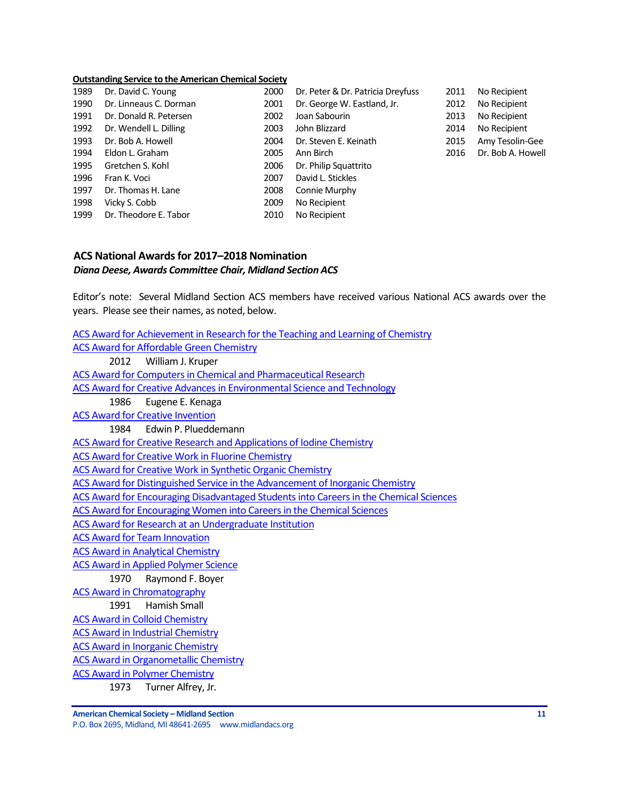#### **Outstanding Service to the American Chemical Society**

| 1989 | Dr. David C. Young     | 2000 | Dr. Peter & Dr. Patricia Dreyfuss | 2011 | No Recipient      |
|------|------------------------|------|-----------------------------------|------|-------------------|
| 1990 | Dr. Linneaus C. Dorman | 2001 | Dr. George W. Eastland, Jr.       | 2012 | No Recipient      |
| 1991 | Dr. Donald R. Petersen | 2002 | Joan Sabourin                     | 2013 | No Recipient      |
| 1992 | Dr. Wendell L. Dilling | 2003 | John Blizzard                     | 2014 | No Recipient      |
| 1993 | Dr. Bob A. Howell      | 2004 | Dr. Steven E. Keinath             | 2015 | Amy Tesolin-Gee   |
| 1994 | Eldon L. Graham        | 2005 | Ann Birch                         | 2016 | Dr. Bob A. Howell |
| 1995 | Gretchen S. Kohl       | 2006 | Dr. Philip Squattrito             |      |                   |
| 1996 | Fran K. Voci           | 2007 | David L. Stickles                 |      |                   |
| 1997 | Dr. Thomas H. Lane     | 2008 | Connie Murphy                     |      |                   |
| 1998 | Vicky S. Cobb          | 2009 | No Recipient                      |      |                   |
| 1999 | Dr. Theodore E. Tabor  | 2010 | No Recipient                      |      |                   |

# <span id="page-10-0"></span>**ACS National Awardsfor 2017–2018 Nomination** *Diana Deese, Awards Committee Chair, Midland Section ACS*

Editor's note: Several Midland Section ACS members have received various National ACS awards over the years. Please see their names, as noted, below.

| ACS Award for Achievement in Research for the Teaching and Learning of Chemistry       |
|----------------------------------------------------------------------------------------|
| <b>ACS Award for Affordable Green Chemistry</b>                                        |
| 2012 William J. Kruper                                                                 |
| <b>ACS Award for Computers in Chemical and Pharmaceutical Research</b>                 |
| ACS Award for Creative Advances in Environmental Science and Technology                |
| 1986 Eugene E. Kenaga                                                                  |
| <b>ACS Award for Creative Invention</b>                                                |
| 1984 Edwin P. Plueddemann                                                              |
| <b>ACS Award for Creative Research and Applications of Iodine Chemistry</b>            |
| <b>ACS Award for Creative Work in Fluorine Chemistry</b>                               |
| <b>ACS Award for Creative Work in Synthetic Organic Chemistry</b>                      |
| ACS Award for Distinguished Service in the Advancement of Inorganic Chemistry          |
| ACS Award for Encouraging Disadvantaged Students into Careers in the Chemical Sciences |
| <b>ACS Award for Encouraging Women into Careers in the Chemical Sciences</b>           |
| <b>ACS Award for Research at an Undergraduate Institution</b>                          |
| <b>ACS Award for Team Innovation</b>                                                   |
| <b>ACS Award in Analytical Chemistry</b>                                               |
| <b>ACS Award in Applied Polymer Science</b>                                            |
| 1970 Raymond F. Boyer                                                                  |
| <b>ACS Award in Chromatography</b>                                                     |
| 1991 Hamish Small                                                                      |
| <b>ACS Award in Colloid Chemistry</b>                                                  |
| <b>ACS Award in Industrial Chemistry</b>                                               |
| <b>ACS Award in Inorganic Chemistry</b>                                                |
| <b>ACS Award in Organometallic Chemistry</b>                                           |
| <b>ACS Award in Polymer Chemistry</b>                                                  |
| 1973 Turner Alfrey, Jr.                                                                |

**American Chemical Society – Midland Section 11**

P.O. Box 2695, Midland, MI 48641-2695 www.midlandacs.org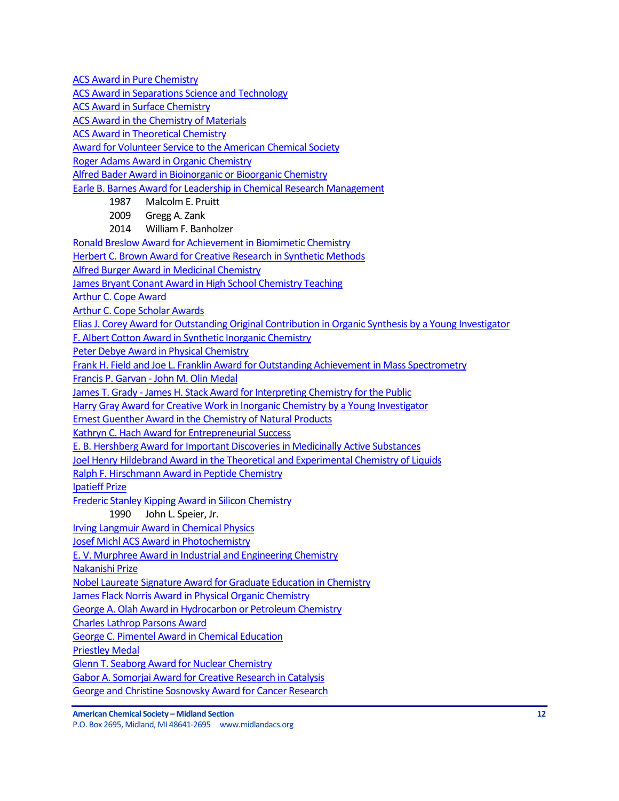[ACS Award in Pure Chemistry](http://www.acs.org/content/acs/en/funding-and-awards/awards/national/bytopic/acs-award-in-pure-chemistry.html)

[ACS Award in Separations Science and Technology](http://www.acs.org/content/acs/en/funding-and-awards/awards/national/bytopic/acs-award-in-separations-science-and-technology.html)

[ACS Award in Surface Chemistry](http://www.acs.org/content/acs/en/funding-and-awards/awards/national/bytopic/acs-award-in-surface-chemistry.html)

[ACS Award in the Chemistry of Materials](http://www.acs.org/content/acs/en/funding-and-awards/awards/national/bytopic/acs-award-in-the-chemistry-of-materials.html)

[ACS Award in Theoretical Chemistry](http://www.acs.org/content/acs/en/funding-and-awards/awards/national/bytopic/acs-award-in-theoretical-chemistry.html)

[Award for Volunteer Service to the American Chemical Society](http://www.acs.org/content/acs/en/funding-and-awards/awards/national/bytopic/award-for-volunteer-service-to-the-american-chemical-society.html)

[Roger Adams Award in Organic Chemistry](http://www.acs.org/content/acs/en/funding-and-awards/awards/national/bytopic/roger-adams-award-in-organic-chemistry.html)

[Alfred Bader Award in Bioinorganic or Bioorganic Chemistry](http://www.acs.org/content/acs/en/funding-and-awards/awards/national/bytopic/alfred-bader-award-in-bioinorganic-or-bioorganic-chemistry.html)

[Earle B. Barnes Award for Leadership in Chemical Research Management](http://www.acs.org/content/acs/en/funding-and-awards/awards/national/bytopic/earle-b-barnes-award-for-leadership-in-chemical-research-management.html)

- 1987 Malcolm E. Pruitt
- 2009 Gregg A. Zank
- 2014 William F. Banholzer

[Ronald Breslow Award for Achievement in Biomimetic Chemistry](http://www.acs.org/content/acs/en/funding-and-awards/awards/national/bytopic/ronald-breslow-award-for-achievement-in-biomimetic-chemistry.html)

[Herbert C. Brown Award for Creative Research in Synthetic Methods](http://www.acs.org/content/acs/en/funding-and-awards/awards/national/bytopic/herbert-c-brown-award-for-creative-research-in-synthetic-methods.html)

[Alfred Burger Award in Medicinal Chemistry](https://www.acs.org/content/acs/en/funding-and-awards/awards/national/bytopic/alfred-burger-award-in-medicinal-chemistry.html?_ga=1.126276233.525249293.1483657158)

[James Bryant Conant Award in High School Chemistry Teaching](http://www.acs.org/content/acs/en/funding-and-awards/awards/national/bytopic/james-bryant-conant-award-in-high-school-chemistry-teaching.html)

[Arthur C. Cope Award](http://www.acs.org/content/acs/en/funding-and-awards/awards/national/bytopic/arthur-c-cope-award.html)

Arthur C. [Cope Scholar Awards](https://www.acs.org/content/acs/en/funding-and-awards/awards/national/bytopic/arthur-cope-scholar-award.html?_ga=1.41640802.1585534025.1483717018)

[Elias J. Corey Award for Outstanding Original Contribution in Organic Synthesis by a Young Investigator](http://www.acs.org/content/acs/en/funding-and-awards/awards/national/bytopic/elias-j-corey-award-for-outstanding-original-contribution-in-organic-synthesis-by-a-young-investigator.html)

[F. Albert Cotton Award in Synthetic Inorganic Chemistry](http://www.acs.org/content/acs/en/funding-and-awards/awards/national/bytopic/f-albert-cotton-award-in-synthetic-inorganic-chemistry.html)

[Peter Debye Award in Physical Chemistry](http://www.acs.org/content/acs/en/funding-and-awards/awards/national/bytopic/peter-debye-award-in-physical-chemistry.html)

[Frank H. Field and Joe L. Franklin Award for Outstanding Achievement in Mass Spectrometry](http://www.acs.org/content/acs/en/funding-and-awards/awards/national/bytopic/frank-h-field-and-joe-l-franklin-award-for-outstanding-achievement-in-mass-spectrometry.html)

Francis P. Garvan - [John M. Olin Medal](http://www.acs.org/content/acs/en/funding-and-awards/awards/national/bytopic/francis-p-garvan-john-m-olin-medal.html)

James T. Grady - [James H. Stack Award for Interpreting Chemistry for the Public](http://www.acs.org/content/acs/en/funding-and-awards/awards/national/bytopic/james-t-grady-james-h-stack-award-for-interpreting-chemistry-for-the-public.html)

[Harry Gray Award for Creative Work in Inorganic Chemistry by a Young Investigator](http://www.acs.org/content/acs/en/funding-and-awards/awards/national/bytopic/harry-gray-award-for-creative-work-in-inorganic-chemistry-by-a-y.html)

[Ernest Guenther Award in the Chemistry of Natural Products](http://www.acs.org/content/acs/en/funding-and-awards/awards/national/bytopic/ernest-guenther-award-in-the-chemistry-of-natural-products.html)

[Kathryn C. Hach Award for Entrepreneurial Success](http://www.acs.org/content/acs/en/funding-and-awards/awards/national/bytopic/entrepreneurial-success.html)

[E. B. Hershberg Award for Important Discoveries in Medicinally Active Substances](http://www.acs.org/content/acs/en/funding-and-awards/awards/national/bytopic/e-b-hershberg-award-for-important-discoveries-in-medicinally-active-substances.html)

[Joel Henry Hildebrand Award in the Theoretical and Experimental Chemistry of Liquids](http://www.acs.org/content/acs/en/funding-and-awards/awards/national/bytopic/joel-henry-hildebrand-award-in-the-theoretical-and-experimental-chemistry-of-liquids.html)

[Ralph F. Hirschmann Award in Peptide Chemistry](https://www.acs.org/content/acs/en/funding-and-awards/awards/national/bytopic/ralph-f-hirschmann-award-in-peptide-chemistry.html?_ga=1.155637183.525249293.1483657158)

[Ipatieff Prize](https://www.acs.org/content/acs/en/funding-and-awards/awards/national/bytopic/ipatieff-prize.html?_ga=1.155637183.525249293.1483657158)

[Frederic Stanley Kipping Award in Silicon Chemistry](http://www.acs.org/content/acs/en/funding-and-awards/awards/national/bytopic/frederic-stanley-kipping-award-in-silicon-chemistry.html)

1990 John L. Speier, Jr.

[Irving Langmuir Award in Chemical Physics](https://www.acs.org/content/acs/en/funding-and-awards/awards/national/bytopic/irving-langmuir-award-in-chemical-physics.html?_ga=1.61816104.525249293.1483657158)

[Josef Michl ACS Award in Photochemistry](https://www.acs.org/content/acs/en/funding-and-awards/awards/national/bytopic/josef-michl-acs-award-in-photochemistry.html?cq_ck=1404230027376&_ga=1.268382858.525249293.1483657158)

[E. V. Murphree Award in Industrial and Engineering Chemistry](http://www.acs.org/content/acs/en/funding-and-awards/awards/national/bytopic/e-v-murphree-award-in-industrial-and-engineering-chemistry.html)

[Nakanishi Prize](http://www.acs.org/content/acs/en/funding-and-awards/awards/national/bytopic/nakanishi-prize.html)

[Nobel Laureate Signature Award for Graduate Education in Chemistry](http://www.acs.org/content/acs/en/funding-and-awards/awards/national/bytopic/nobel-laureate-signature-award-for-graduate-education-in-chemistry.html)

[James Flack Norris Award in Physical Organic Chemistry](http://www.acs.org/content/acs/en/funding-and-awards/awards/national/bytopic/james-flack-norris-award-in-physical-organic-chemistry.html)

[George A. Olah Award in Hydrocarbon or Petroleum Chemistry](http://www.acs.org/content/acs/en/funding-and-awards/awards/national/bytopic/george-a-olah-award-in-hydrocarbon-or-petroleum-chemistry.html)

[Charles Lathrop Parsons Award](http://www.acs.org/content/acs/en/funding-and-awards/awards/national/bytopic/charles-lathrop-parsons-award.html)

[George C. Pimentel Award in Chemical Education](http://www.acs.org/content/acs/en/funding-and-awards/awards/national/bytopic/george-c-pimentel-award-in-chemical-education.html)

[Priestley Medal](http://www.acs.org/content/acs/en/funding-and-awards/awards/national/bytopic/priestley-medal.html)

[Glenn T. Seaborg Award for Nuclear Chemistry](http://www.acs.org/content/acs/en/funding-and-awards/awards/national/bytopic/glenn-t-seaborg-award-for-nuclear-chemistry.html)

[Gabor A. Somorjai Award for Creative Research in Catalysis](http://www.acs.org/content/acs/en/funding-and-awards/awards/national/bytopic/gabor-a-somorjai-award-for-creative-research-in-catalysis.html)

[George and Christine Sosnovsky Award for Cancer Research](http://www.acs.org/content/acs/en/funding-and-awards/awards/national/bytopic/the-george-and-christine-sosnovsky-award-for-cancer-research.html)

**American Chemical Society – Midland Section 12**

P.O. Box 2695, Midland, MI 48641-2695 www.midlandacs.org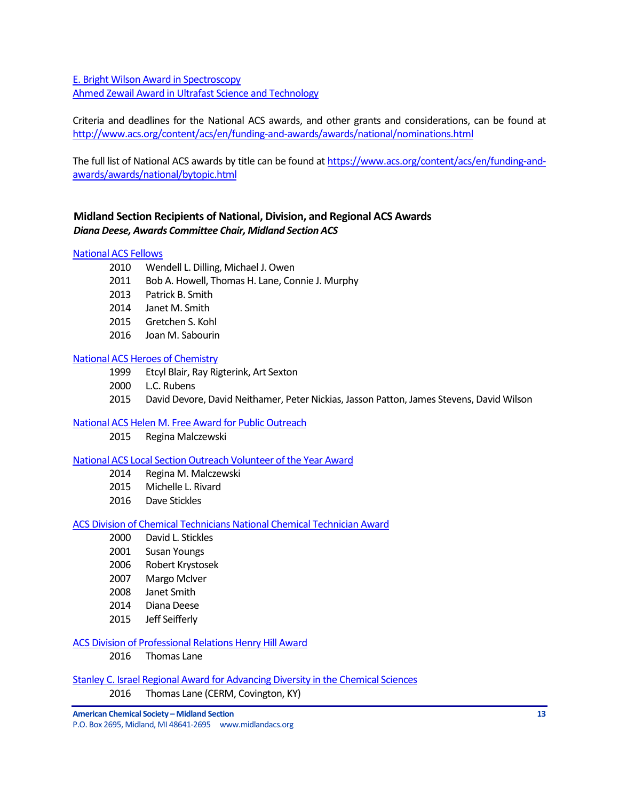[E. Bright Wilson Award in Spectroscopy](http://www.acs.org/content/acs/en/funding-and-awards/awards/national/bytopic/e-bright-wilson-award-in-spectroscopy.html) [Ahmed Zewail Award in Ultrafast Science and Technology](http://www.acs.org/content/acs/en/funding-and-awards/awards/national/bytopic/the-ahmed-zewail-award-in-ultrafast-science-and-technology.html)

Criteria and deadlines for the National ACS awards, and other grants and considerations, can be found at <http://www.acs.org/content/acs/en/funding-and-awards/awards/national/nominations.html>

The full list of National ACS awards by title can be found at [https://www.acs.org/content/acs/en/funding-and](https://www.acs.org/content/acs/en/funding-and-awards/awards/national/bytopic.html)[awards/awards/national/bytopic.html](https://www.acs.org/content/acs/en/funding-and-awards/awards/national/bytopic.html)

# <span id="page-12-0"></span>**Midland Section Recipients of National, Division, and Regional ACS Awards** *Diana Deese, Awards Committee Chair, Midland Section ACS*

#### [National ACS Fellows](https://www.acs.org/content/acs/en/funding-and-awards/fellows.html?_ga=1.101250693.525249293.1483657158)

- 2010 Wendell L. Dilling, Michael J. Owen
- 2011 Bob A. Howell, Thomas H. Lane, Connie J. Murphy
- 2013 Patrick B. Smith
- 2014 Janet M. Smith
- 2015 Gretchen S. Kohl
- 2016 Joan M. Sabourin

#### [National ACS Heroes of Chemistry](https://www.acs.org/content/acs/en/funding-and-awards/awards/industry/heroes.html)

- 1999 Etcyl Blair, Ray Rigterink, Art Sexton
- 2000 L.C. Rubens
- 2015 David Devore, David Neithamer, Peter Nickias, Jasson Patton, James Stevens, David Wilson

#### [National ACS Helen M. Free Award for Public Outreach](https://www.acs.org/content/acs/en/funding-and-awards/awards/other/public/helenmfreeawardforpublicoutreach.html?_ga=1.102306181.525249293.1483657158)

2015 Regina Malczewski

#### [National ACS Local Section Outreach Volunteer of the Year Award](https://www.acs.org/content/acs/en/membership-and-networks/ls/grantsawards/local-section-outreach-volunteers.html?_ga=1.163659451.525249293.1483657158)

- 2014 Regina M. Malczewski
- 2015 Michelle L. Rivard
- 2016 Dave Stickles

#### [ACS Division of Chemical Technicians National Chemical Technician Award](https://www.acs.org/content/acs/en/funding-and-awards/awards/division/technicians/national-chemical-technician-award.html)

- 2000 David L. Stickles
- 2001 Susan Youngs
- 2006 Robert Krystosek
- 2007 Margo McIver
- 2008 Janet Smith
- 2014 Diana Deese
- 2015 Jeff Seifferly

#### [ACS Division of Professional Relations Henry Hill Award](https://www.acs.org/content/acs/en/funding-and-awards/awards/division/professionalrelations/prof-henry-hill-award.html)

2016 Thomas Lane

[Stanley C. Israel Regional Award for Advancing Diversity in the Chemical Sciences](https://www.acs.org/content/acs/en/funding-and-awards/awards/other/diversity/stan-israel-award.html?_ga=1.122460559.525249293.1483657158)

2016 Thomas Lane (CERM, Covington, KY)

**American Chemical Society – Midland Section 13**

P.O. Box 2695, Midland, MI 48641-2695 www.midlandacs.org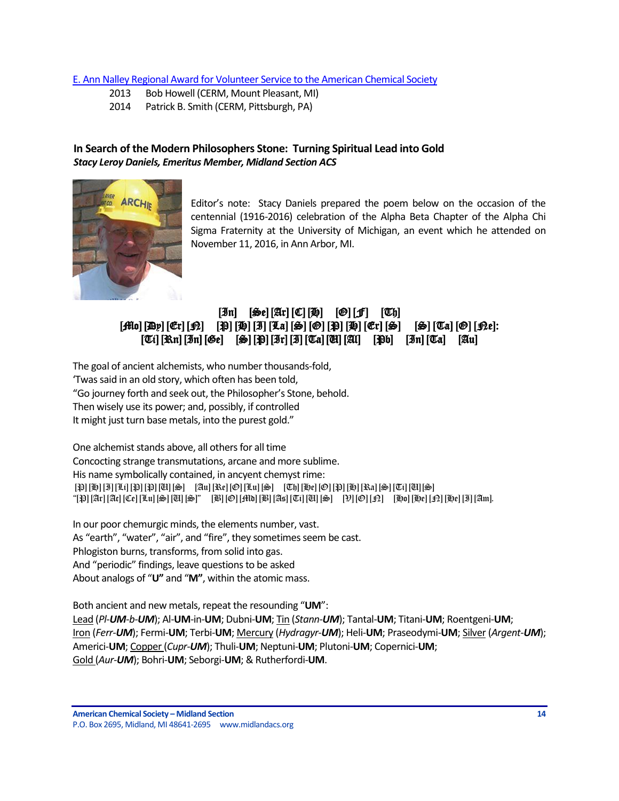### [E. Ann Nalley Regional Award for Volunteer Service to the American Chemical Society](https://www.acs.org/content/acs/en/funding-and-awards/awards/regional/e-ann-nalley-regional-award-for-volunteer-service-to-the-american-chemical-society.html?_ga=1.58725929.525249293.1483657158)

- 2013 Bob Howell (CERM, Mount Pleasant, MI)
- 2014 Patrick B. Smith (CERM, Pittsburgh, PA)

# <span id="page-13-0"></span>**In Search of the Modern Philosophers Stone: Turning Spiritual Lead into Gold** *Stacy Leroy Daniels, Emeritus Member, Midland Section ACS*



Editor's note: Stacy Daniels prepared the poem below on the occasion of the centennial (1916-2016) celebration of the Alpha Beta Chapter of the Alpha Chi Sigma Fraternity at the University of Michigan, an event which he attended on November 11, 2016, in Ann Arbor, MI.

# $[\mathfrak{In}]$   $[\mathfrak{S}_c][\mathfrak{Ar}][\mathfrak{C}][\mathfrak{H}]$   $[\mathfrak{D}][\mathfrak{F}]$   $[\mathfrak{V}_b]$  $[\mathcal{H}\mathfrak{g}]\left[\mathfrak{G}\mathfrak{r}\right][\mathfrak{G}\mathfrak{r}]\left[\mathfrak{H}\right]\left[\mathfrak{H}\right]\left[\mathfrak{H}\right]\left[\mathfrak{H}\right]\left[\mathfrak{G}\right]\left[\mathfrak{G}\right]\left[\mathfrak{H}\right]\left[\mathfrak{G}\right]\left[\mathfrak{G}\right]\left[\mathfrak{G}\right]\left[\mathfrak{G}\right]\left[\mathfrak{G}\right]\left[\mathfrak{G}\right]\left[\mathfrak{H}\right]$  $[T[i]$   $[\Re \pi]$   $[\Im \pi]$   $[\Im e]$   $[\Im \pi]$   $[\Im \pi]$   $[\Im \pi]$   $[\Im \pi]$   $[\Im \pi]$   $[\Im \pi]$   $[\Im \pi]$   $[\Im \pi]$   $[\Im \pi]$   $[\Im \pi]$

The goal of ancient alchemists, who number thousands-fold, 'Twas said in an old story, which often has been told, "Go journey forth and seek out, the Philosopher's Stone, behold. Then wisely use its power; and, possibly, if controlled It might just turn base metals, into the purest gold."

One alchemist stands above, all others for all time Concocting strange transmutations, arcane and more sublime. His name symbolically contained, in ancyent chemyst rime: [P] [H] [I] [Li] [P] [P] [U] [S] [Au] [Re] [O] [Lu] [S] [Th] [He] [O] [P] [H] [Ra] [S] [Ti] [U][S] "[P] [Ar] [Ac] [Ce] [Lu] [S] [U] [S]" [B] [O] [Md] [B] [As] [Ti] [U] [S] [V] [O] [N] [Ho] [He] [N] [He] [I] [Am].

In our poor chemurgic minds, the elements number, vast. As "earth", "water", "air", and "fire", they sometimes seem be cast. Phlogiston burns, transforms, from solid into gas. And "periodic" findings, leave questions to be asked About analogs of "**U"** and "**M"**, within the atomic mass.

Both ancient and new metals, repeat the resounding "**UM**": Lead (*Pl-UM-b-UM*); Al-**UM**-in-**UM**; Dubni-**UM**; Tin (*Stann-UM*); Tantal-**UM**; Titani-**UM**; Roentgeni-**UM**; Iron (*Ferr-UM*); Fermi-**UM**; Terbi-**UM**; Mercury (*Hydragyr-UM*); Heli-**UM**; Praseodymi-**UM**; Silver (*Argent-UM*); Americi-**UM**; Copper(*Cupr-UM*); Thuli-**UM**; Neptuni-**UM**; Plutoni-**UM**; Copernici-**UM**; Gold (*Aur-UM*); Bohri-**UM**; Seborgi-**UM**; & Rutherfordi-**UM**.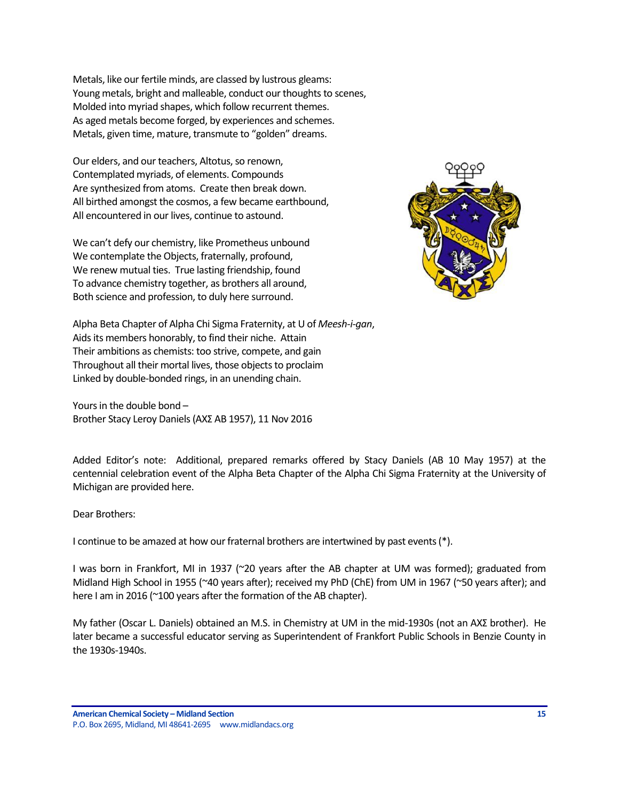Metals, like our fertile minds, are classed by lustrous gleams: Young metals, bright and malleable, conduct our thoughts to scenes, Molded into myriad shapes, which follow recurrent themes. As aged metals become forged, by experiences and schemes. Metals, given time, mature, transmute to "golden" dreams.

Our elders, and our teachers, Altotus, so renown, Contemplated myriads, of elements. Compounds Are synthesized from atoms. Create then break down. All birthed amongst the cosmos, a few became earthbound, All encountered in our lives, continue to astound.

We can't defy our chemistry, like Prometheus unbound We contemplate the Objects, fraternally, profound, We renew mutual ties. True lasting friendship, found To advance chemistry together, as brothers all around, Both science and profession, to duly here surround.



Alpha Beta Chapter of Alpha Chi Sigma Fraternity, at U of *Meesh-i-gan*, Aids its members honorably, to find their niche. Attain Their ambitions as chemists: too strive, compete, and gain Throughout all their mortal lives, those objects to proclaim Linked by double-bonded rings, in an unending chain.

Yours in the double bond – Brother Stacy Leroy Daniels (ΑΧΣ AB 1957), 11 Nov 2016

Added Editor's note: Additional, prepared remarks offered by Stacy Daniels (AB 10 May 1957) at the centennial celebration event of the Alpha Beta Chapter of the Alpha Chi Sigma Fraternity at the University of Michigan are provided here.

Dear Brothers:

I continue to be amazed at how our fraternal brothers are intertwined by past events (\*).

I was born in Frankfort, MI in 1937 (~20 years after the AB chapter at UM was formed); graduated from Midland High School in 1955 (~40 years after); received my PhD (ChE) from UM in 1967 (~50 years after); and here I am in 2016 (~100 years after the formation of the AB chapter).

My father (Oscar L. Daniels) obtained an M.S. in Chemistry at UM in the mid-1930s (not an ΑΧΣ brother). He later became a successful educator serving as Superintendent of Frankfort Public Schools in Benzie County in the 1930s-1940s.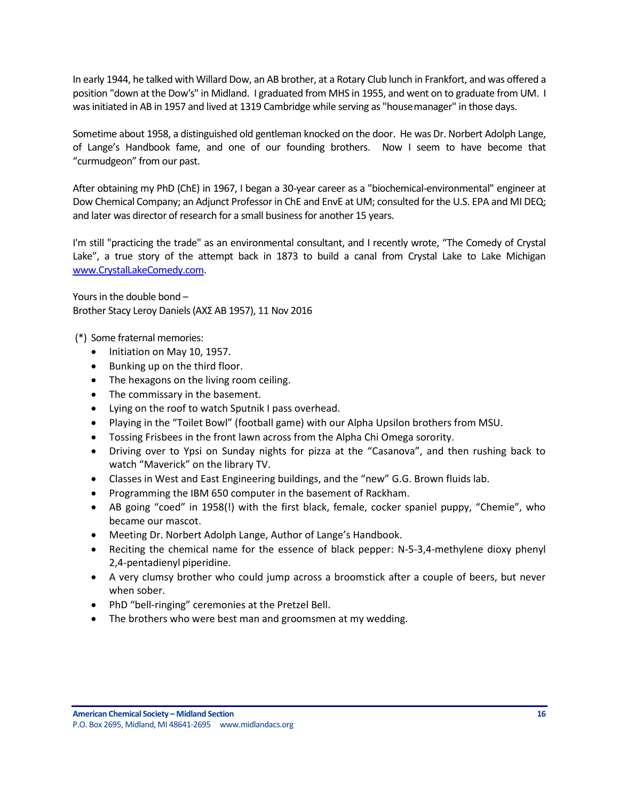In early 1944, he talked with Willard Dow, an AB brother, at a Rotary Club lunch in Frankfort, and was offered a position "down at the Dow's" in Midland. I graduated from MHS in 1955, and went on to graduate from UM. I was initiated in AB in 1957 and lived at 1319 Cambridge while serving as "housemanager" in those days.

Sometime about 1958, a distinguished old gentleman knocked on the door. He was Dr. Norbert Adolph Lange, of Lange's Handbook fame, and one of our founding brothers. Now I seem to have become that "curmudgeon" from our past.

After obtaining my PhD (ChE) in 1967, I began a 30-year career as a "biochemical-environmental" engineer at Dow Chemical Company; an Adjunct Professor in ChE and EnvE at UM; consulted for the U.S. EPA and MI DEQ; and later was director of research for a small business for another 15 years.

I'm still "practicing the trade" as an environmental consultant, and I recently wrote, "The Comedy of Crystal Lake", a true story of the attempt back in 1873 to build a canal from Crystal Lake to Lake Michigan [www.CrystalLakeComedy.com.](http://www.crystallakecomedy.com/)

Yours in the double bond – Brother Stacy Leroy Daniels (ΑΧΣ AB 1957), 11 Nov 2016

(\*) Some fraternal memories:

- Initiation on May 10, 1957.
- Bunking up on the third floor.
- The hexagons on the living room ceiling.
- The commissary in the basement.
- Lying on the roof to watch Sputnik I pass overhead.
- Playing in the "Toilet Bowl" (football game) with our Alpha Upsilon brothers from MSU.
- Tossing Frisbees in the front lawn across from the Alpha Chi Omega sorority.
- Driving over to Ypsi on Sunday nights for pizza at the "Casanova", and then rushing back to watch "Maverick" on the library TV.
- Classes in West and East Engineering buildings, and the "new" G.G. Brown fluids lab.
- Programming the IBM 650 computer in the basement of Rackham.
- AB going "coed" in 1958(!) with the first black, female, cocker spaniel puppy, "Chemie", who became our mascot.
- Meeting Dr. Norbert Adolph Lange, Author of Lange's Handbook.
- Reciting the chemical name for the essence of black pepper: N-5-3,4-methylene dioxy phenyl 2,4-pentadienyl piperidine.
- A very clumsy brother who could jump across a broomstick after a couple of beers, but never when sober.
- PhD "bell-ringing" ceremonies at the Pretzel Bell.
- The brothers who were best man and groomsmen at my wedding.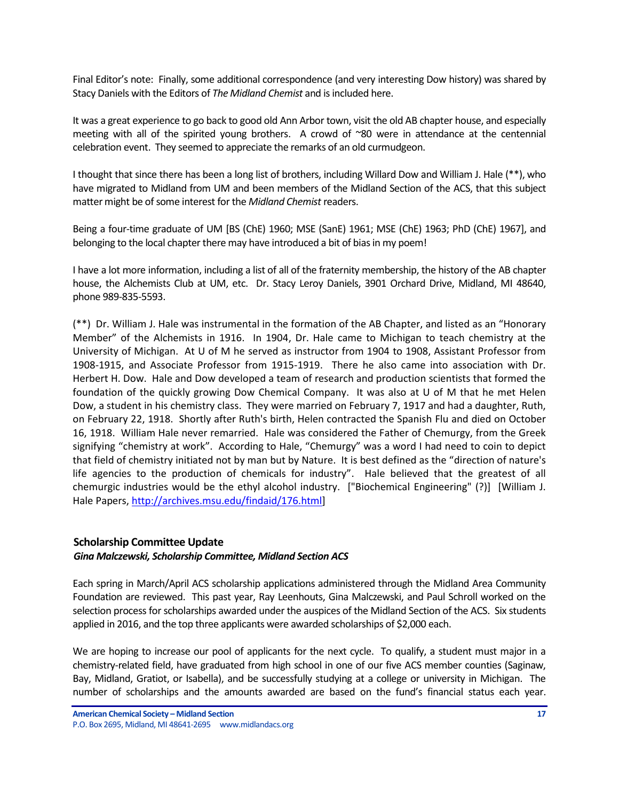Final Editor's note: Finally, some additional correspondence (and very interesting Dow history) was shared by Stacy Daniels with the Editors of *The Midland Chemist* and is included here.

It was a great experience to go back to good old Ann Arbor town, visit the old AB chapter house, and especially meeting with all of the spirited young brothers. A crowd of ~80 were in attendance at the centennial celebration event. They seemed to appreciate the remarks of an old curmudgeon.

I thought that since there has been a long list of brothers, including Willard Dow and William J. Hale (\*\*), who have migrated to Midland from UM and been members of the Midland Section of the ACS, that this subject matter might be of some interest for the *Midland Chemist* readers.

Being a four-time graduate of UM [BS (ChE) 1960; MSE (SanE) 1961; MSE (ChE) 1963; PhD (ChE) 1967], and belonging to the local chapter there may have introduced a bit of bias in my poem!

I have a lot more information, including a list of all of the fraternity membership, the history of the AB chapter house, the Alchemists Club at UM, etc. Dr. Stacy Leroy Daniels, 3901 Orchard Drive, Midland, MI 48640, phone 989-835-5593.

(\*\*) Dr. William J. Hale was instrumental in the formation of the AB Chapter, and listed as an "Honorary Member" of the Alchemists in 1916. In 1904, Dr. Hale came to Michigan to teach chemistry at the University of Michigan. At U of M he served as instructor from 1904 to 1908, Assistant Professor from 1908-1915, and Associate Professor from 1915-1919. There he also came into association with Dr. Herbert H. Dow. Hale and Dow developed a team of research and production scientists that formed the foundation of the quickly growing Dow Chemical Company. It was also at U of M that he met Helen Dow, a student in his chemistry class. They were married on February 7, 1917 and had a daughter, Ruth, on February 22, 1918. Shortly after Ruth's birth, Helen contracted the Spanish Flu and died on October 16, 1918. William Hale never remarried. Hale was considered the Father of Chemurgy, from the Greek signifying "chemistry at work". According to Hale, "Chemurgy" was a word I had need to coin to depict that field of chemistry initiated not by man but by Nature. It is best defined as the "direction of nature's life agencies to the production of chemicals for industry". Hale believed that the greatest of all chemurgic industries would be the ethyl alcohol industry. ["Biochemical Engineering" (?)] [William J. Hale Papers, [http://archives.msu.edu/findaid/176.html\]](http://archives.msu.edu/findaid/176.html)

### <span id="page-16-0"></span>**Scholarship Committee Update**

### *Gina Malczewski, Scholarship Committee, Midland Section ACS*

Each spring in March/April ACS scholarship applications administered through the Midland Area Community Foundation are reviewed. This past year, Ray Leenhouts, Gina Malczewski, and Paul Schroll worked on the selection process for scholarships awarded under the auspices of the Midland Section of the ACS. Six students applied in 2016, and the top three applicants were awarded scholarships of \$2,000 each.

We are hoping to increase our pool of applicants for the next cycle. To qualify, a student must major in a chemistry-related field, have graduated from high school in one of our five ACS member counties (Saginaw, Bay, Midland, Gratiot, or Isabella), and be successfully studying at a college or university in Michigan. The number of scholarships and the amounts awarded are based on the fund's financial status each year.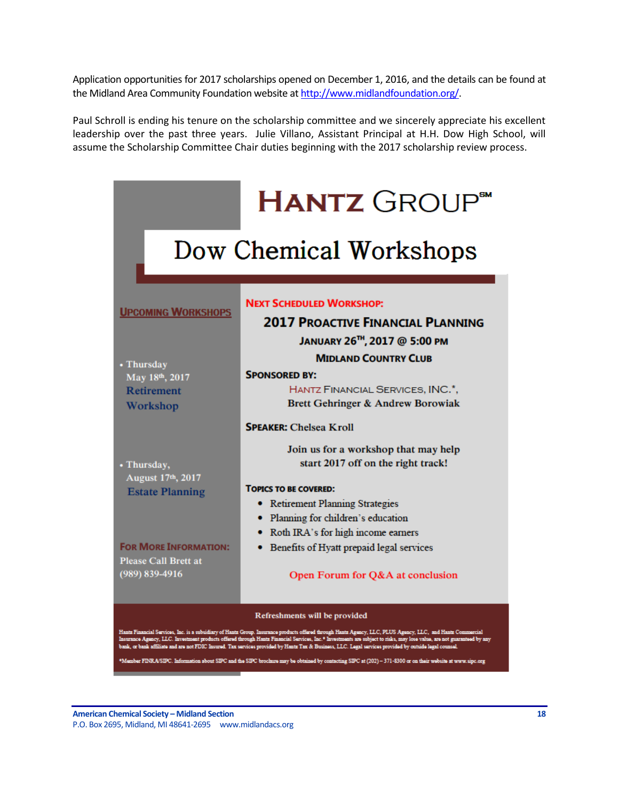Application opportunities for 2017 scholarships opened on December 1, 2016, and the details can be found at the Midland Area Community Foundation website a[t http://www.midlandfoundation.org/.](http://www.midlandfoundation.org/)

Paul Schroll is ending his tenure on the scholarship committee and we sincerely appreciate his excellent leadership over the past three years. Julie Villano, Assistant Principal at H.H. Dow High School, will assume the Scholarship Committee Chair duties beginning with the 2017 scholarship review process.

|                                                                                                                                                                                                                                                                                                                                                                                                                                                                                                                                                                                                                                                                                                  | <b>HANTZ</b> GROUP <sup>**</sup>                                                                                                                                                                                                                                                                                                                 |  |  |  |
|--------------------------------------------------------------------------------------------------------------------------------------------------------------------------------------------------------------------------------------------------------------------------------------------------------------------------------------------------------------------------------------------------------------------------------------------------------------------------------------------------------------------------------------------------------------------------------------------------------------------------------------------------------------------------------------------------|--------------------------------------------------------------------------------------------------------------------------------------------------------------------------------------------------------------------------------------------------------------------------------------------------------------------------------------------------|--|--|--|
| Dow Chemical Workshops                                                                                                                                                                                                                                                                                                                                                                                                                                                                                                                                                                                                                                                                           |                                                                                                                                                                                                                                                                                                                                                  |  |  |  |
| <b>UPCOMING WORKSHOPS</b><br>• Thursday<br>May 18th, 2017<br><b>Retirement</b><br>Workshop                                                                                                                                                                                                                                                                                                                                                                                                                                                                                                                                                                                                       | <b>NEXT SCHEDULED WORKSHOP:</b><br><b>2017 PROACTIVE FINANCIAL PLANNING</b><br>JANUARY 26 <sup>TH</sup> , 2017 @ 5:00 PM<br><b>MIDLAND COUNTRY CLUB</b><br><b>SPONSORED BY:</b><br>HANTZ FINANCIAL SERVICES, INC.*,<br>Brett Gehringer & Andrew Borowiak                                                                                         |  |  |  |
| • Thursday,<br>August 17th, 2017<br><b>Estate Planning</b><br><b>FOR MORE INFORMATION:</b><br><b>Please Call Brett at</b><br>(989) 839-4916                                                                                                                                                                                                                                                                                                                                                                                                                                                                                                                                                      | <b>SPEAKER: Chelsea Kroll</b><br>Join us for a workshop that may help<br>start 2017 off on the right track!<br><b>TOPICS TO BE COVERED:</b><br>• Retirement Planning Strategies<br>· Planning for children's education<br>• Roth IRA's for high income earners<br>• Benefits of Hyatt prepaid legal services<br>Open Forum for Q&A at conclusion |  |  |  |
| Refreshments will be provided<br>Hantz Financial Services, Inc. is a subsidiary of Hantz Group. Insurance products offered through Hantz Agency, LLC, PLUS Agency, LLC, and Hantz Commercial<br>Insurance Agency, LLC. Investment products offered through Hantz Financial Services, Inc.* Investments are subject to risks, may lose value, are not guaranteed by any<br>bank, or bank affiliate and are not FDIC Insured. Tax services provided by Hantz Tax & Business, LLC. Legal services provided by outside legal counsel.<br>*Member FINRA/SIPC. Information about SIPC and the SIPC brochure may be obtained by contacting SIPC at (202) - 371-8300 or on their website at www.sipc.org |                                                                                                                                                                                                                                                                                                                                                  |  |  |  |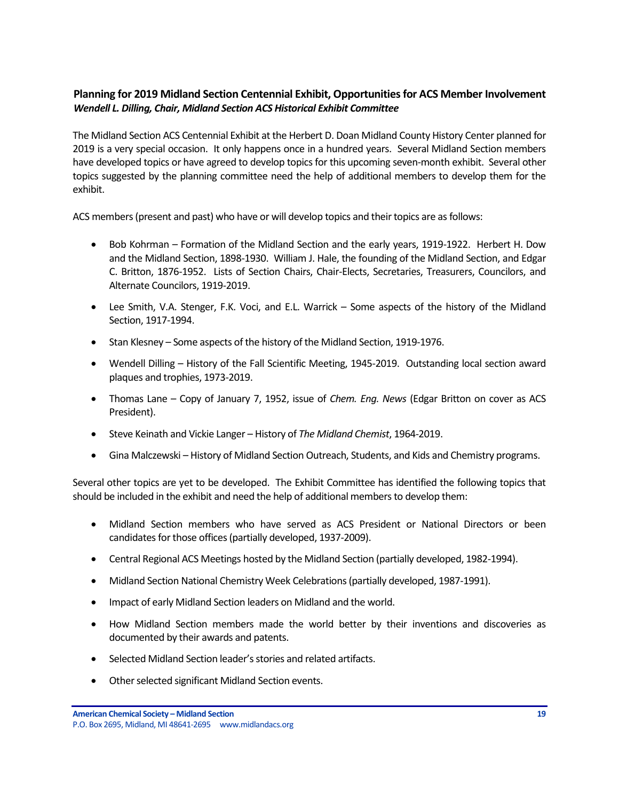# <span id="page-18-0"></span>**Planning for 2019 Midland Section Centennial Exhibit, Opportunities for ACS Member Involvement** *Wendell L. Dilling, Chair, Midland Section ACS Historical Exhibit Committee*

The Midland Section ACS Centennial Exhibit at the Herbert D. Doan Midland County History Center planned for 2019 is a very special occasion. It only happens once in a hundred years. Several Midland Section members have developed topics or have agreed to develop topics for this upcoming seven-month exhibit. Several other topics suggested by the planning committee need the help of additional members to develop them for the exhibit.

ACS members (present and past) who have or will develop topics and their topics are as follows:

- Bob Kohrman Formation of the Midland Section and the early years, 1919-1922. Herbert H. Dow and the Midland Section, 1898-1930. William J. Hale, the founding of the Midland Section, and Edgar C. Britton, 1876-1952. Lists of Section Chairs, Chair-Elects, Secretaries, Treasurers, Councilors, and Alternate Councilors, 1919-2019.
- Lee Smith, V.A. Stenger, F.K. Voci, and E.L. Warrick Some aspects of the history of the Midland Section, 1917-1994.
- Stan Klesney Some aspects of the history of the Midland Section, 1919-1976.
- Wendell Dilling History of the Fall Scientific Meeting, 1945-2019. Outstanding local section award plaques and trophies, 1973-2019.
- Thomas Lane Copy of January 7, 1952, issue of *Chem. Eng. News* (Edgar Britton on cover as ACS President).
- Steve Keinath and Vickie Langer History of *The Midland Chemist*, 1964-2019.
- Gina Malczewski History of Midland Section Outreach, Students, and Kids and Chemistry programs.

Several other topics are yet to be developed. The Exhibit Committee has identified the following topics that should be included in the exhibit and need the help of additional members to develop them:

- Midland Section members who have served as ACS President or National Directors or been candidates for those offices (partially developed, 1937-2009).
- Central Regional ACS Meetings hosted by the Midland Section (partially developed, 1982-1994).
- Midland Section National Chemistry Week Celebrations (partially developed, 1987-1991).
- Impact of early Midland Section leaders on Midland and the world.
- How Midland Section members made the world better by their inventions and discoveries as documented by their awards and patents.
- Selected Midland Section leader's stories and related artifacts.
- Other selected significant Midland Section events.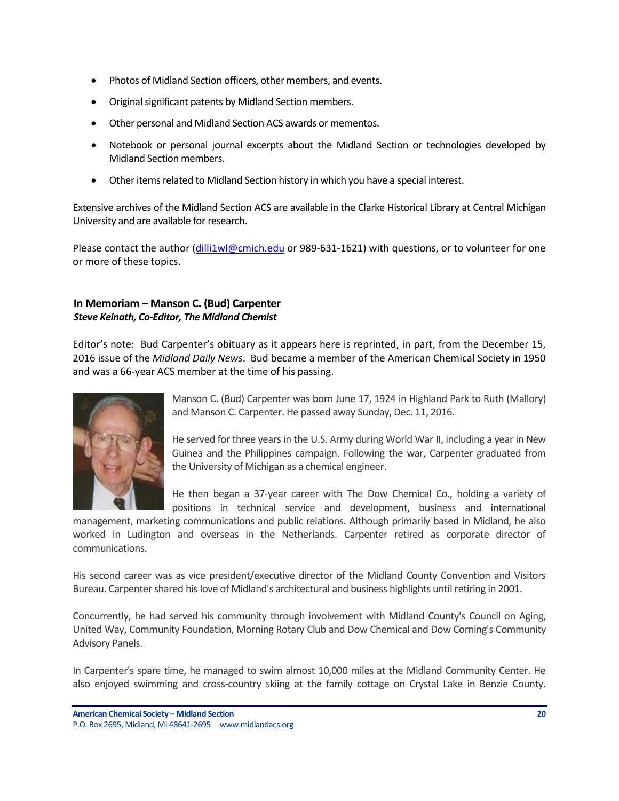- Photos of Midland Section officers, other members, and events.
- Original significant patents by Midland Section members.
- Other personal and Midland Section ACS awards or mementos.
- Notebook or personal journal excerpts about the Midland Section or technologies developed by Midland Section members.
- Other items related to Midland Section history in which you have a special interest.

Extensive archives of the Midland Section ACS are available in the Clarke Historical Library at Central Michigan University and are available for research.

Please contact the author [\(dilli1wl@cmich.edu](mailto:dilli1wl@cmich.edu) or 989-631-1621) with questions, or to volunteer for one or more of these topics.

# <span id="page-19-0"></span>**In Memoriam – Manson C. (Bud) Carpenter** *Steve Keinath, Co-Editor, The Midland Chemist*

Editor's note: Bud Carpenter's obituary as it appears here is reprinted, in part, from the December 15, 2016 issue of the *Midland Daily News*. Bud became a member of the American Chemical Society in 1950 and was a 66-year ACS member at the time of his passing.



Manson C. (Bud) Carpenter was born June 17, 1924 in Highland Park to Ruth (Mallory) and Manson C. Carpenter. He passed away Sunday, Dec. 11, 2016.

He served for three years in the U.S. Army during World War II, including a year in New Guinea and the Philippines campaign. Following the war, Carpenter graduated from the University of Michigan as a chemical engineer.

He then began a 37-year career with The Dow Chemical Co., holding a variety of positions in technical service and development, business and international

management, marketing communications and public relations. Although primarily based in Midland, he also worked in Ludington and overseas in the Netherlands. Carpenter retired as corporate director of communications.

His second career was as vice president/executive director of the Midland County Convention and Visitors Bureau. Carpenter shared his love of Midland's architectural and business highlights until retiring in 2001.

Concurrently, he had served his community through involvement with Midland County's Council on Aging, United Way, Community Foundation, Morning Rotary Club and Dow Chemical and Dow Corning's Community Advisory Panels.

In Carpenter's spare time, he managed to swim almost 10,000 miles at the Midland Community Center. He also enjoyed swimming and cross-country skiing at the family cottage on Crystal Lake in Benzie County.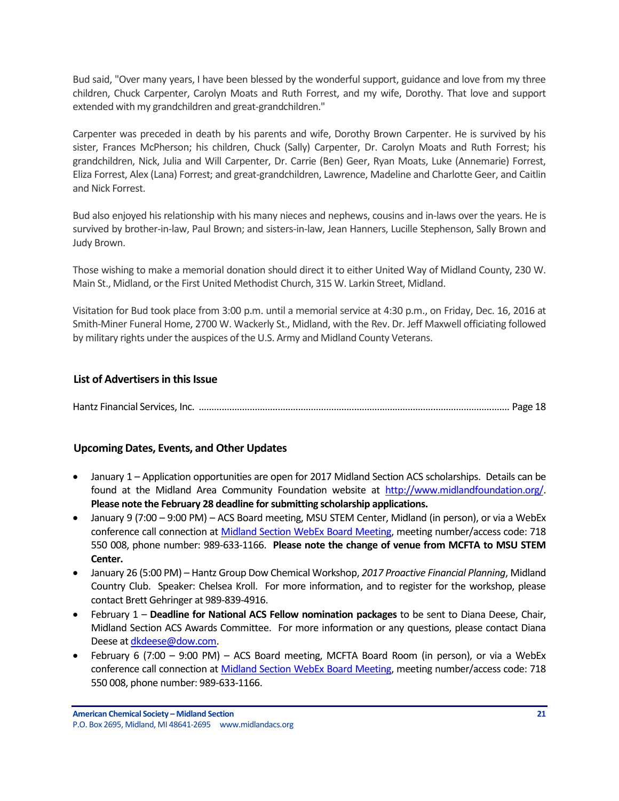Bud said, "Over many years, I have been blessed by the wonderful support, guidance and love from my three children, Chuck Carpenter, Carolyn Moats and Ruth Forrest, and my wife, Dorothy. That love and support extended with my grandchildren and great-grandchildren."

Carpenter was preceded in death by his parents and wife, Dorothy Brown Carpenter. He is survived by his sister, Frances McPherson; his children, Chuck (Sally) Carpenter, Dr. Carolyn Moats and Ruth Forrest; his grandchildren, Nick, Julia and Will Carpenter, Dr. Carrie (Ben) Geer, Ryan Moats, Luke (Annemarie) Forrest, Eliza Forrest, Alex (Lana) Forrest; and great-grandchildren, Lawrence, Madeline and Charlotte Geer, and Caitlin and Nick Forrest.

Bud also enjoyed his relationship with his many nieces and nephews, cousins and in-laws over the years. He is survived by brother-in-law, Paul Brown; and sisters-in-law, Jean Hanners, Lucille Stephenson, Sally Brown and Judy Brown.

Those wishing to make a memorial donation should direct it to either United Way of Midland County, 230 W. Main St., Midland, or the First United Methodist Church, 315 W. Larkin Street, Midland.

Visitation for Bud took place from 3:00 p.m. until a memorial service at 4:30 p.m., on Friday, Dec. 16, 2016 at Smith-Miner Funeral Home, 2700 W. Wackerly St., Midland, with the Rev. Dr. Jeff Maxwell officiating followed by military rights under the auspices of the U.S. Army and Midland County Veterans.

## <span id="page-20-0"></span>**List of Advertisers in this Issue**

Hantz Financial Services, Inc. .......................................................................................................................... Page 18

# <span id="page-20-1"></span>**Upcoming Dates, Events, and Other Updates**

- January 1 Application opportunities are open for 2017 Midland Section ACS scholarships. Details can be found at the Midland Area Community Foundation website at [http://www.midlandfoundation.org/.](http://www.midlandfoundation.org/) **Please note the February 28 deadline for submitting scholarship applications.**
- January 9 (7:00 9:00 PM) ACS Board meeting, MSU STEM Center, Midland (in person), or via a WebEx conference call connection a[t Midland Section WebEx Board Meeting,](https://dow.webex.com/dow/j.php?MTID=m5192f5d7ce51fdaec2255e2ab2643dc8) meeting number/access code: 718 550 008, phone number: 989-633-1166. **Please note the change of venue from MCFTA to MSU STEM Center.**
- January 26 (5:00 PM) Hantz Group Dow Chemical Workshop, *2017 Proactive Financial Planning*, Midland Country Club. Speaker: Chelsea Kroll. For more information, and to register for the workshop, please contact Brett Gehringer at 989-839-4916.
- February 1 **Deadline for National ACS Fellow nomination packages** to be sent to Diana Deese, Chair, Midland Section ACS Awards Committee. For more information or any questions, please contact Diana Deese a[t dkdeese@dow.com.](mailto:dkdeese@dow.com)
- February 6 (7:00 9:00 PM) ACS Board meeting, MCFTA Board Room (in person), or via a WebEx conference call connection a[t Midland Section WebEx Board Meeting,](https://dow.webex.com/dow/j.php?MTID=m5192f5d7ce51fdaec2255e2ab2643dc8) meeting number/access code: 718 550 008, phone number: 989-633-1166.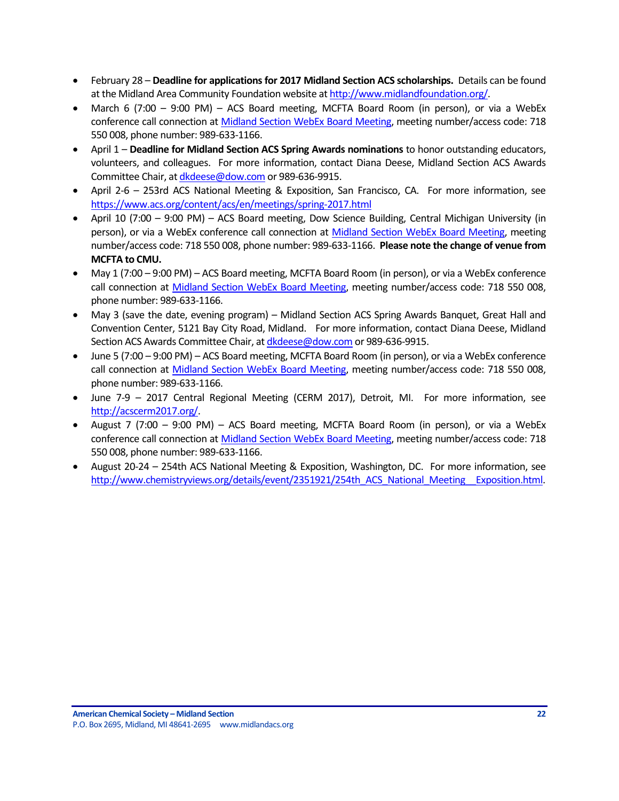- February 28 **Deadline for applications for 2017 Midland Section ACS scholarships.** Details can be found at the Midland Area Community Foundation website a[t http://www.midlandfoundation.org/.](http://www.midlandfoundation.org/)
- March 6 (7:00 9:00 PM) ACS Board meeting, MCFTA Board Room (in person), or via a WebEx conference call connection a[t Midland Section WebEx Board Meeting,](https://dow.webex.com/dow/j.php?MTID=m5192f5d7ce51fdaec2255e2ab2643dc8) meeting number/access code: 718 550 008, phone number: 989-633-1166.
- April 1 **Deadline for Midland Section ACS Spring Awards nominations** to honor outstanding educators, volunteers, and colleagues. For more information, contact Diana Deese, Midland Section ACS Awards Committee Chair, a[t dkdeese@dow.com](mailto:dkdeese@dow.com) or 989-636-9915.
- April 2-6 253rd ACS National Meeting & Exposition, San Francisco, CA. For more information, see <https://www.acs.org/content/acs/en/meetings/spring-2017.html>
- April 10 (7:00 9:00 PM) ACS Board meeting, Dow Science Building, Central Michigan University (in person), or via a WebEx conference call connection at Midland Section [WebEx Board Meeting,](https://dow.webex.com/dow/j.php?MTID=m5192f5d7ce51fdaec2255e2ab2643dc8) meeting number/access code: 718 550 008, phone number: 989-633-1166. **Please note the change of venue from MCFTA to CMU.**
- May 1 (7:00 9:00 PM) ACS Board meeting, MCFTA Board Room (in person), or via a WebEx conference call connection at [Midland Section WebEx Board Meeting,](https://dow.webex.com/dow/j.php?MTID=m5192f5d7ce51fdaec2255e2ab2643dc8) meeting number/access code: 718 550 008, phone number: 989-633-1166.
- May 3 (save the date, evening program) Midland Section ACS Spring Awards Banquet, Great Hall and Convention Center, 5121 Bay City Road, Midland. For more information, contact Diana Deese, Midland Section ACS Awards Committee Chair, a[t dkdeese@dow.com](mailto:dkdeese@dow.com) or 989-636-9915.
- June 5 (7:00 9:00 PM) ACS Board meeting, MCFTA Board Room (in person), or via a WebEx conference call connection at [Midland Section WebEx Board Meeting,](https://dow.webex.com/dow/j.php?MTID=m5192f5d7ce51fdaec2255e2ab2643dc8) meeting number/access code: 718 550 008, phone number: 989-633-1166.
- June 7-9 2017 Central Regional Meeting (CERM 2017), Detroit, MI. For more information, see [http://acscerm2017.org/.](http://acscerm2017.org/)
- August 7 (7:00 9:00 PM) ACS Board meeting, MCFTA Board Room (in person), or via a WebEx conference call connection a[t Midland Section WebEx Board Meeting,](https://dow.webex.com/dow/j.php?MTID=m5192f5d7ce51fdaec2255e2ab2643dc8) meeting number/access code: 718 550 008, phone number: 989-633-1166.
- August 20-24 254th ACS National Meeting & Exposition, Washington, DC. For more information, see [http://www.chemistryviews.org/details/event/2351921/254th\\_ACS\\_National\\_Meeting\\_\\_Exposition.html.](http://www.chemistryviews.org/details/event/2351921/254th_ACS_National_Meeting__Exposition.html)